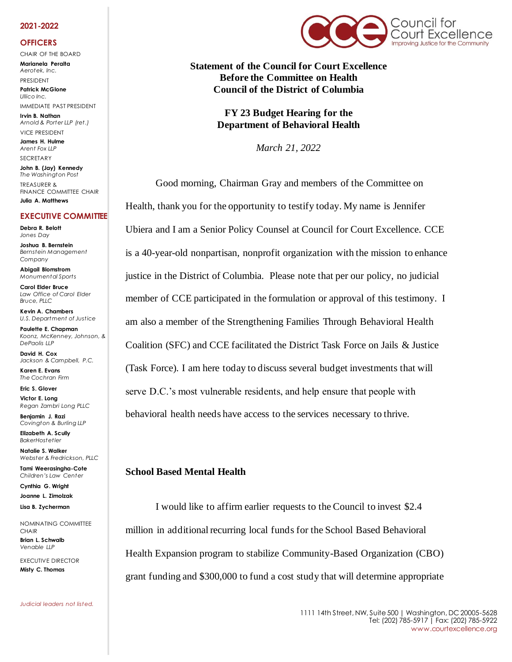#### **2021-2022**

### **OFFICERS**

CHAIR OF THE BOARD **Marianela Peralta** *Aerotek, Inc.*

PRESIDENT **Patrick McGlone**

*Ullico Inc.*  IMMEDIATE PAST PRESIDENT

**Irvin B. Nathan** *Arnold & Porter LLP (ret.)*  VICE PRESIDENT

**James H. Hulme** *Arent Fox LLP* SECRETARY

**John B. (Jay) Kennedy** *The Washington Post* TREASURER & FINANCE COMMITTEE CHAIR **Julia A. Matthews**

### **EXECUTIVE COMMITTEE**

**Debra R. Belott** *Jones Day*

**Joshua B. Bernstein** *Bernstein Management Company*

**Abigail Blomstrom** *Monumental Sports*

**Carol Elder Bruce** *Law Office of Carol Elder Bruce, PLLC*

**Kevin A. Chambers** *U.S. Department of Justice*

**Paulette E. Chapman** *Koonz, McKenney, Johnson, & DePaolis LLP*

**David H. Cox** *Jackson & Campbell, P.C.*

**Karen E. Evans** *The Cochran Firm*

**Eric S. Glover Victor E. Long** *Regan Zambri Long PLLC*

**Benjamin J. Razi** *Covington & Burling LLP*

**Elizabeth A. Scully** *BakerHostetler*

**Natalie S. Walker** *Webster & Fredrickson, PLLC*

**Tami Weerasingha-Cote** *Children's Law Center*

**Cynthia G. Wright Joanne L. Zimolzak**

**Lisa B. Zycherman**

NOMINATING COMMITTEE **CHAIR Brian L. Schwalb**

*Venable LLP* EXECUTIVE DIRECTOR

**Misty C. Thomas** 

*Judicial leaders not listed.*



**Statement of the Council for Court Excellence Before the Committee on Health Council of the District of Columbia**

> **FY 23 Budget Hearing for the Department of Behavioral Health**

> > *March 21, 2022*

Good morning, Chairman Gray and members of the Committee on Health, thank you for the opportunity to testify today. My name is Jennifer Ubiera and I am a Senior Policy Counsel at Council for Court Excellence. CCE is a 40-year-old nonpartisan, nonprofit organization with the mission to enhance justice in the District of Columbia. Please note that per our policy, no judicial member of CCE participated in the formulation or approval of this testimony. I am also a member of the Strengthening Families Through Behavioral Health Coalition (SFC) and CCE facilitated the District Task Force on Jails & Justice (Task Force). I am here today to discuss several budget investments that will serve D.C.'s most vulnerable residents, and help ensure that people with behavioral health needs have access to the services necessary to thrive.

## **School Based Mental Health**

I would like to affirm earlier requests to the Council to invest \$2.4 million in additional recurring local funds for the School Based Behavioral Health Expansion program to stabilize Community-Based Organization (CBO) grant funding and \$300,000 to fund a cost study that will determine appropriate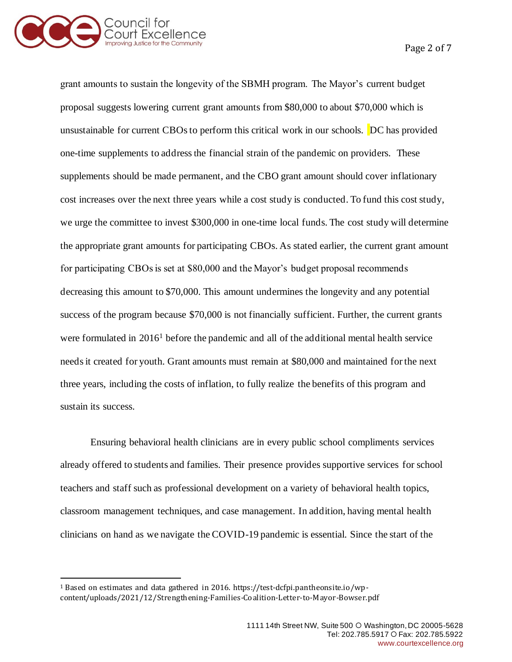

Page 2 of 7

grant amounts to sustain the longevity of the SBMH program. The Mayor's current budget proposal suggests lowering current grant amounts from \$80,000 to about \$70,000 which is unsustainable for current CBOs to perform this critical work in our schools. DC has provided one-time supplements to address the financial strain of the pandemic on providers. These supplements should be made permanent, and the CBO grant amount should cover inflationary cost increases over the next three years while a cost study is conducted. To fund this cost study, we urge the committee to invest \$300,000 in one-time local funds. The cost study will determine the appropriate grant amounts for participating CBOs. As stated earlier, the current grant amount for participating CBOs is set at \$80,000 and the Mayor's budget proposal recommends decreasing this amount to \$70,000. This amount undermines the longevity and any potential success of the program because \$70,000 is not financially sufficient. Further, the current grants were formulated in 2016<sup>1</sup> before the pandemic and all of the additional mental health service needs it created for youth. Grant amounts must remain at \$80,000 and maintained for the next three years, including the costs of inflation, to fully realize the benefits of this program and sustain its success.

Ensuring behavioral health clinicians are in every public school compliments services already offered to students and families. Their presence provides supportive services for school teachers and staff such as professional development on a variety of behavioral health topics, classroom management techniques, and case management. In addition, having mental health clinicians on hand as we navigate the COVID-19 pandemic is essential. Since the start of the

<sup>1</sup> Based on estimates and data gathered in 2016. https://test-dcfpi.pantheonsite.io/wpcontent/uploads/2021/12/Strengthening-Families-Coalition-Letter-to-Mayor-Bowser.pdf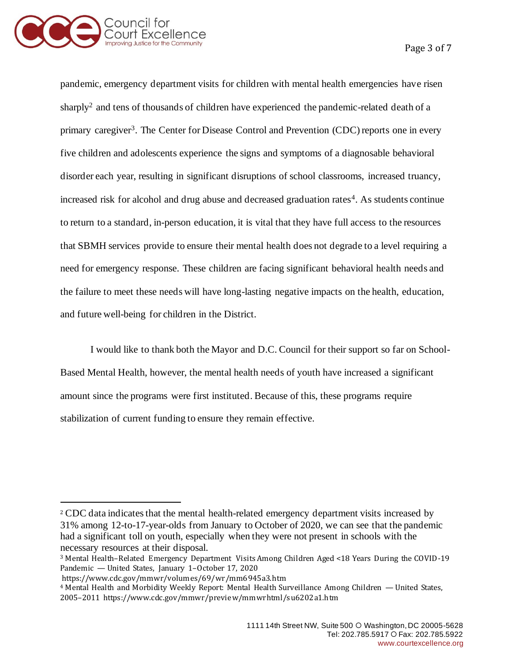

Page 3 of 7

pandemic, emergency department visits for children with mental health emergencies have risen sharply<sup>2</sup> and tens of thousands of children have experienced the pandemic-related death of a primary caregiver<sup>3</sup>. The Center for Disease Control and Prevention (CDC) reports one in every five children and adolescents experience the signs and symptoms of a diagnosable behavioral disorder each year, resulting in significant disruptions of school classrooms, increased truancy, increased risk for alcohol and drug abuse and decreased graduation rates<sup>4</sup>. As students continue to return to a standard, in-person education, it is vital that they have full access to the resources that SBMH services provide to ensure their mental health does not degrade to a level requiring a need for emergency response. These children are facing significant behavioral health needs and the failure to meet these needs will have long-lasting negative impacts on the health, education, and future well-being for children in the District.

I would like to thank both the Mayor and D.C. Council for their support so far on School-Based Mental Health, however, the mental health needs of youth have increased a significant amount since the programs were first instituted. Because of this, these programs require stabilization of current funding to ensure they remain effective.

<sup>2</sup> CDC data indicates that the mental health-related emergency department visits increased by 31% among 12-to-17-year-olds from January to October of 2020, we can see that the pandemic had a significant toll on youth, especially when they were not present in schools with the necessary resources at their disposal.

<sup>3</sup> Mental Health–Related Emergency Department Visits Among Children Aged <18 Years During the COVID-19 Pandemic — United States, January 1–October 17, 2020

https://www.cdc.gov/mmwr/volumes/69/wr/mm6945a3.htm

<sup>4</sup> Mental Health and Morbidity Weekly Report: Mental Health Surveillance Among Children — United States, 2005–2011 https://www.cdc.gov/mmwr/preview/mmwrhtml/su6202a1.htm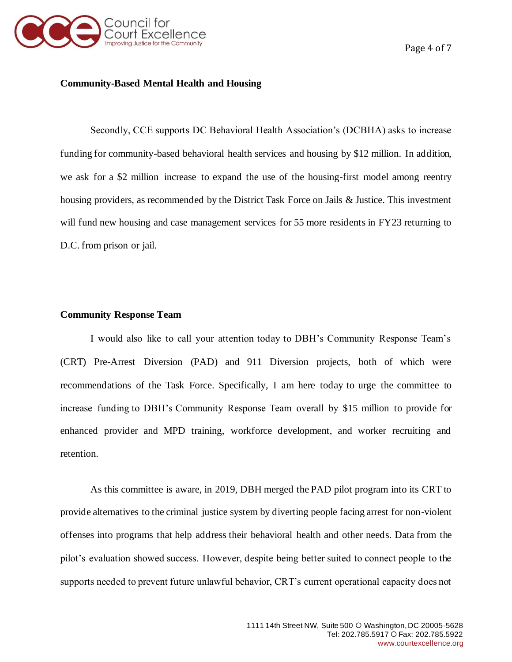

## **Community-Based Mental Health and Housing**

Secondly, CCE supports DC Behavioral Health Association's (DCBHA) asks to increase funding for community-based behavioral health services and housing by \$12 million. In addition, we ask for a \$2 million increase to expand the use of the housing-first model among reentry housing providers, as recommended by the District Task Force on Jails & Justice. This investment will fund new housing and case management services for 55 more residents in FY23 returning to D.C. from prison or jail.

## **Community Response Team**

I would also like to call your attention today to DBH's Community Response Team's (CRT) Pre-Arrest Diversion (PAD) and 911 Diversion projects, both of which were recommendations of the Task Force. Specifically, I am here today to urge the committee to increase funding to DBH's Community Response Team overall by \$15 million to provide for enhanced provider and MPD training, workforce development, and worker recruiting and retention.

As this committee is aware, in 2019, DBH merged the PAD pilot program into its CRT to provide alternatives to the criminal justice system by diverting people facing arrest for non-violent offenses into programs that help address their behavioral health and other needs. Data from the pilot's evaluation showed success. However, despite being better suited to connect people to the supports needed to prevent future unlawful behavior, CRT's current operational capacity does not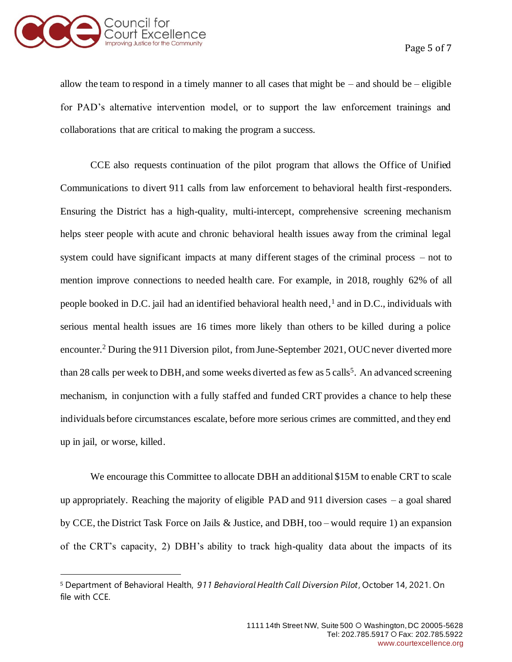

allow the team to respond in a timely manner to all cases that might be – and should be – eligible for PAD's alternative intervention model, or to support the law enforcement trainings and collaborations that are critical to making the program a success.

CCE also requests continuation of the pilot program that allows the Office of Unified Communications to divert 911 calls from law enforcement to behavioral health first-responders. Ensuring the District has a high-quality, multi-intercept, comprehensive screening mechanism helps steer people with acute and chronic behavioral health issues away from the criminal legal system could have significant impacts at many different stages of the criminal process – not to mention improve connections to needed health care. For example, in 2018, roughly 62% of all people booked in D.C. jail had an identified behavioral health need,<sup>1</sup> and in D.C., individuals with serious mental health issues are 16 times more likely than others to be killed during a police encounter.<sup>2</sup> During the 911 Diversion pilot, from June-September 2021, OUC never diverted more than 28 calls per week to DBH, and some weeks diverted as few as 5 calls<sup>5</sup>. An advanced screening mechanism, in conjunction with a fully staffed and funded CRT provides a chance to help these individuals before circumstances escalate, before more serious crimes are committed, and they end up in jail, or worse, killed.

We encourage this Committee to allocate DBH an additional \$15M to enable CRT to scale up appropriately. Reaching the majority of eligible PAD and 911 diversion cases – a goal shared by CCE, the District Task Force on Jails & Justice, and DBH, too – would require 1) an expansion of the CRT's capacity, 2) DBH's ability to track high-quality data about the impacts of its

<sup>5</sup> Department of Behavioral Health, *911 Behavioral Health Call Diversion Pilot*, October 14, 2021. On file with CCE.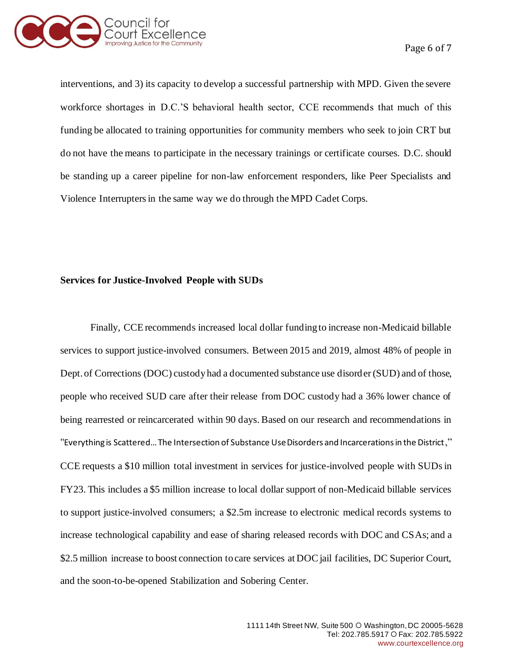

interventions, and 3) its capacity to develop a successful partnership with MPD. Given the severe workforce shortages in D.C.'S behavioral health sector, CCE recommends that much of this funding be allocated to training opportunities for community members who seek to join CRT but do not have the means to participate in the necessary trainings or certificate courses. D.C. should be standing up a career pipeline for non-law enforcement responders, like Peer Specialists and Violence Interrupters in the same way we do through the MPD Cadet Corps.

# **Services for Justice-Involved People with SUDs**

Finally, CCE recommends increased local dollar funding to increase non-Medicaid billable services to support justice-involved consumers. Between 2015 and 2019, almost 48% of people in Dept. of Corrections (DOC) custody had a documented substance use disorder (SUD) and of those, people who received SUD care after their release from DOC custody had a 36% lower chance of being rearrested or reincarcerated within 90 days. Based on our research and recommendations in "Everything is Scattered… The Intersection of Substance Use Disorders and Incarcerations in the District," CCE requests a \$10 million total investment in services for justice-involved people with SUDs in FY23. This includes a \$5 million increase to local dollar support of non-Medicaid billable services to support justice-involved consumers; a \$2.5m increase to electronic medical records systems to increase technological capability and ease of sharing released records with DOC and CSAs; and a \$2.5 million increase to boost connection to care services at DOC jail facilities, DC Superior Court, and the soon-to-be-opened Stabilization and Sobering Center.